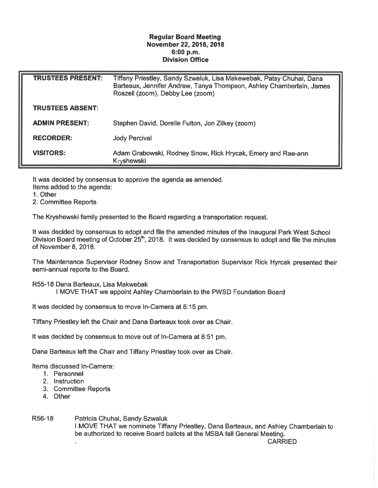## Regular Board Meeting November 22, 2018, 2018 6:00 p. m. Division Office

| <b>TRUSTEES PRESENT:</b> | Tiffany Priestley, Sandy Szwaluk, Lisa Makewebak, Patsy Chuhai, Dana<br>Barteaux, Jennifer Andrew, Tanya Thompson, Ashley Chamberlain, James<br>Roszell (zoom), Debby Lee (zoom) |
|--------------------------|----------------------------------------------------------------------------------------------------------------------------------------------------------------------------------|
| <b>TRUSTEES ABSENT:</b>  |                                                                                                                                                                                  |
| <b>ADMIN PRESENT:</b>    | Stephen David, Dorelle Fulton, Jon Zilkey (zoom)                                                                                                                                 |
| <b>RECORDER:</b>         | <b>Jody Percival</b>                                                                                                                                                             |
| <b>VISITORS:</b>         | Adam Grabowski, Rodney Snow, Rick Hrycak, Emery and Rae-ann<br>Kryshewski                                                                                                        |

It was decided by consensus to approve the agenda as amended. Items added to the agenda:

1. Other

2. Committee Reports

The Kryshewski family presented to the Board regarding a transportation request.

It was decided by consensus to adopt and file the amended minutes of the Inaugural Park West School Division Board meeting of October  $25<sup>th</sup>$ , 2018. It was decided by consensus to adopt and file the minutes of November 8, 2018.

The Maintenance Supervisor Rodney Snow and Transportation Supervisor Rick Hyrcak presented their semi-annual reports to the Board.

R55-18 Dana Barteaux, Lisa Makwebak

I MOVE THAT we appoint Ashley Chamberlain to the PWSD Foundation Board

It was decided by consensus to move In-Camera at 8:15 pm.

Tiffany Priestley left the Chair and Dana Barteaux took over as Chair.

It was decided by consensus to move out of In-Camera at 8:51 pm.

Dana Barteaux left the Chair and Tiffany Priestley took over as Chair.

Items discussed In-Camera:

- 1. Personnel
- 2. Instruction
- 3. Committee Reports
- 4. Other

R56-18 Patricia Chuhai, Sandy Szwaluk I MOVE THAT we nominate Tiffany Priestley, Dana Barteaux, and Ashley Chamberlain to be authorized to receive Board ballots at the MSBA fall General Meeting.

**CARRIED**